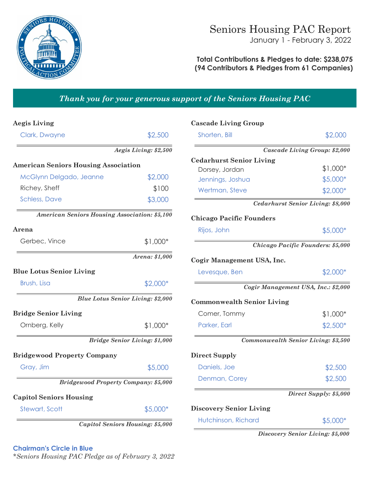

### **Total Contributions & Pledges to date: \$238,075 (94 Contributors & Pledges from 61 Companies)**

# *Thank you for your generous support of the Seniors Housing PAC*

| <b>Aegis Living</b>                                  |                                          | <b>Cascade Living Group</b>       |                                            |
|------------------------------------------------------|------------------------------------------|-----------------------------------|--------------------------------------------|
| Clark, Dwayne                                        | \$2,500                                  | Shorten, Bill                     | \$2,000                                    |
|                                                      | Aegis Living: \$2,500                    |                                   | <b>Cascade Living Group: \$2,000</b>       |
| <b>American Seniors Housing Association</b>          |                                          | <b>Cedarhurst Senior Living</b>   |                                            |
|                                                      |                                          | Dorsey, Jordan                    | $$1,000*$                                  |
| McGlynn Delgado, Jeanne                              | \$2,000                                  | Jennings, Joshua                  | $$5,000*$                                  |
| Richey, Sheff                                        | \$100                                    | Wertman, Steve                    | \$2,000*                                   |
| <b>Schless, Dave</b>                                 | \$3,000                                  |                                   | Cedarhurst Senior Living: \$8,000          |
| <b>American Seniors Housing Association: \$5,100</b> |                                          | <b>Chicago Pacific Founders</b>   |                                            |
| Arena                                                |                                          | Rijos, John                       | $$5,000*$                                  |
| Gerbec, Vince                                        | $$1,000*$                                |                                   | Chicago Pacific Founders: \$5,000          |
|                                                      | Arena: \$1,000                           | Cogir Management USA, Inc.        |                                            |
| <b>Blue Lotus Senior Living</b>                      |                                          | Levesque, Ben                     | $$2,000*$                                  |
| Brush, Lisa                                          | $$2,000*$                                |                                   | Cogir Management USA, Inc.: \$2,000        |
|                                                      | <b>Blue Lotus Senior Living: \$2,000</b> | <b>Commonwealth Senior Living</b> |                                            |
| <b>Bridge Senior Living</b>                          |                                          | Comer, Tommy                      | $$1,000*$                                  |
| Ornberg, Kelly                                       | $$1,000*$                                | Parker, Earl                      | $$2,500*$                                  |
|                                                      | <b>Bridge Senior Living: \$1,000</b>     |                                   | <b>Commonwealth Senior Living: \$3,500</b> |
| <b>Bridgewood Property Company</b>                   |                                          | <b>Direct Supply</b>              |                                            |
| Gray, Jim                                            | \$5,000                                  | Daniels, Joe                      | \$2,500                                    |
| <b>Bridgewood Property Company: \$5,000</b>          |                                          | Denman, Corey                     | \$2,500                                    |
| <b>Capitol Seniors Housing</b>                       |                                          |                                   | Direct Supply: \$5,000                     |
| Stewart, Scott                                       | \$5,000*                                 | <b>Discovery Senior Living</b>    |                                            |
|                                                      | <b>Capitol Seniors Housing: \$5,000</b>  | Hutchinson, Richard               | $$5,000*$                                  |
|                                                      |                                          |                                   | Discovery Senior Living: \$5,000           |

**Chairman's Circle in Blue**

*\*Seniors Housing PAC Pledge as of February 3, 2022*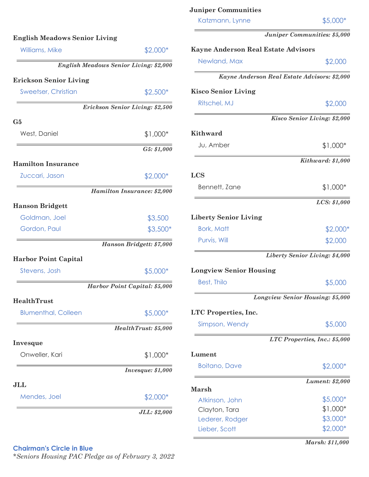| Williams, Mike                | \$2,000*                                      | Kayne A                |
|-------------------------------|-----------------------------------------------|------------------------|
|                               | <b>English Meadows Senior Living: \$2,000</b> | <b>Newlo</b>           |
| <b>Erickson Senior Living</b> |                                               |                        |
| <b>Sweetser, Christian</b>    | $$2,500*$                                     | <b>Kisco So</b>        |
|                               | Erickson Senior Living: \$2,500               | <b>Ritsch</b>          |
| G5                            |                                               |                        |
| West, Daniel                  | $$1,000*$                                     | Kithwai                |
|                               | G5: \$1,000                                   | Ju, An                 |
| <b>Hamilton Insurance</b>     |                                               |                        |
| Zuccari, Jason                | \$2,000*                                      | <b>LCS</b>             |
|                               | Hamilton Insurance: \$2,000                   | Benne                  |
| <b>Hanson Bridgett</b>        |                                               |                        |
| Goldman, Joel                 | \$3,500                                       | Liberty                |
| Gordon, Paul                  | $$3,500*$                                     | Bork, M                |
|                               | Hanson Bridgett: \$7,000                      | Purvis,                |
| <b>Harbor Point Capital</b>   |                                               |                        |
| Stevens, Josh                 | \$5,000*                                      | Longvie                |
|                               | Harbor Point Capital: \$5,000                 | Best, T                |
| HealthTrust                   |                                               |                        |
| <b>Blumenthal, Colleen</b>    | \$5,000*                                      | LTC Pro                |
|                               | HealthTrust: \$5,000                          | Simpso                 |
| Invesque                      |                                               |                        |
| Onweller, Kari                | $$1,000*$                                     | Lument                 |
|                               | <i>Invesque: \$1,000</i>                      | <b>Boitar</b>          |
| JLL                           |                                               |                        |
| Mendes, Joel                  | \$2,000*                                      | Marsh<br><b>Atkins</b> |
|                               | JLL: \$2,000                                  | Clayto                 |
|                               |                                               | Leder                  |

| Katzmann, Lynne                            | \$5,000*                                     |
|--------------------------------------------|----------------------------------------------|
|                                            | Juniper Communities: \$5,000                 |
| <b>Kayne Anderson Real Estate Advisors</b> |                                              |
| Newland, Max                               | \$2,000                                      |
|                                            | Kayne Anderson Real Estate Advisors: \$2,000 |
| <b>Kisco Senior Living</b>                 |                                              |
| Ritschel, MJ                               | \$2,000                                      |
|                                            | Kisco Senior Living: \$2,000                 |
| <b>Kithward</b>                            |                                              |
| Ju, Amber                                  | \$1,000*                                     |
|                                            | Kithward: \$1,000                            |
| LCS                                        |                                              |
| Bennett, Zane                              | \$1,000*                                     |
|                                            | LCS: \$1,000                                 |
| <b>Liberty Senior Living</b>               |                                              |
| <b>Bork, Matt</b>                          | \$2,000*                                     |
| Purvis, Will                               | \$2,000                                      |
|                                            | Liberty Senior Living: \$4,000               |
| <b>Longview Senior Housing</b>             |                                              |
| <b>Best, Thilo</b>                         | \$5,000                                      |
|                                            | Longview Senior Housing: \$5,000             |
| <b>LTC</b> Properties, Inc.                |                                              |
| Simpson, Wendy                             | \$5,000                                      |
|                                            | LTC Properties, Inc.: \$5,000                |
| ${\rm Lument}$                             |                                              |
| <b>Boitano, Dave</b>                       | \$2,000*                                     |
|                                            | <b>Lument: \$2,000</b>                       |
| Marsh                                      |                                              |
| Atkinson, John                             | \$5,000*                                     |
| Clayton, Tara                              | \$1,000*                                     |
| Lederer, Rodger                            | \$3,000*                                     |
| Lieber, Scott                              | \$2,000*                                     |
|                                            | Marsh: \$11,000                              |

**Juniper Communities**

# **Chairman's Circle in Blue**

*\*Seniors Housing PAC Pledge as of February 3, 2022*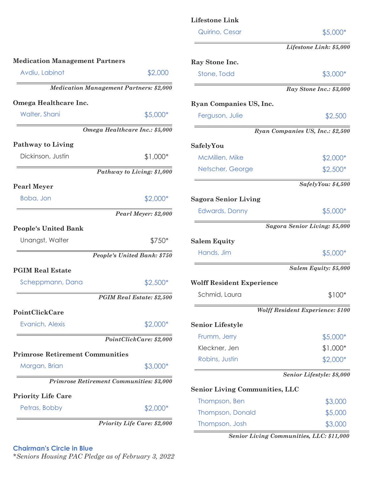|                                                |                                    | <b>Lifestone Link</b>                 |                                         |
|------------------------------------------------|------------------------------------|---------------------------------------|-----------------------------------------|
|                                                |                                    | Quirino, Cesar                        | $$5,000*$                               |
|                                                |                                    |                                       | Lifestone Link: \$5,000                 |
| <b>Medication Management Partners</b>          |                                    | Ray Stone Inc.                        |                                         |
| Avdiu, Labinot                                 | \$2,000                            | Stone, Todd                           | \$3,000*                                |
| <b>Medication Management Partners: \$2,000</b> |                                    |                                       | Ray Stone Inc.: \$3,000                 |
| Omega Healthcare Inc.                          |                                    | <b>Ryan Companies US, Inc.</b>        |                                         |
| Walter, Shani                                  | \$5,000*                           | Ferguson, Julie                       | \$2,500                                 |
| Omega Healthcare Inc.: \$5,000                 |                                    |                                       | Ryan Companies US, Inc.: \$2,500        |
| <b>Pathway to Living</b>                       |                                    | SafelyYou                             |                                         |
| Dickinson, Justin                              | $$1,000*$                          | McMillen, Mike                        | $$2,000*$                               |
|                                                | Pathway to Living: \$1,000         | Netscher, George                      | $$2,500*$                               |
| <b>Pearl Meyer</b>                             |                                    |                                       | SafelyYou: \$4,500                      |
| Boba, Jon                                      | \$2,000*                           | <b>Sagora Senior Living</b>           |                                         |
|                                                | Pearl Meyer: \$2,000               | <b>Edwards, Donny</b>                 | $$5,000*$                               |
| <b>People's United Bank</b>                    |                                    |                                       | Sagora Senior Living: \$5,000           |
| Unangst, Walter                                | \$750*                             | <b>Salem Equity</b>                   |                                         |
|                                                | People's United Bank: \$750        | Hands, Jim                            | $$5,000*$                               |
| <b>PGIM Real Estate</b>                        |                                    |                                       | Salem Equity: \$5,000                   |
| Scheppmann, Dana                               | $$2,500*$                          | <b>Wolff Resident Experience</b>      |                                         |
|                                                | PGIM Real Estate: \$2,500          | Schmid, Laura                         | $$100*$                                 |
| PointClickCare                                 |                                    |                                       | <b>Wolff Resident Experience: \$100</b> |
| Evanich, Alexis                                | \$2,000*                           | <b>Senior Lifestyle</b>               |                                         |
|                                                | PointClickCare: \$2,000            | Frumm, Jerry                          | $$5,000*$                               |
| <b>Primrose Retirement Communities</b>         |                                    | Kleckner, Jen                         | $$1,000*$                               |
| Morgan, Brian                                  | \$3,000*                           | Robins, Justin                        | $$2,000*$                               |
| Primrose Retirement Communities: \$3,000       |                                    |                                       | Senior Lifestyle: \$8,000               |
|                                                |                                    | <b>Senior Living Communities, LLC</b> |                                         |
| <b>Priority Life Care</b>                      |                                    | Thompson, Ben                         | \$3,000                                 |
| Petras, Bobby                                  | \$2,000*                           | <b>Thompson, Donald</b>               | \$5,000                                 |
|                                                | <b>Priority Life Care: \$2,000</b> | Thompson, Josh                        | \$3,000                                 |

*Senior Living Communities, LLC: \$11,000* 

# **Chairman's Circle in Blue**

*\*Seniors Housing PAC Pledge as of February 3, 2022*